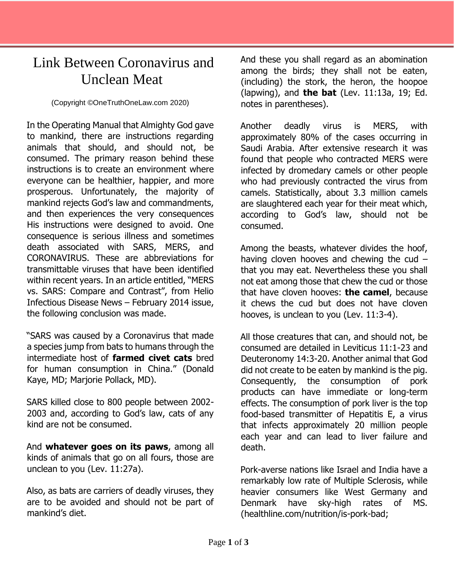## Link Between Coronavirus and Unclean Meat

(Copyright ©OneTruthOneLaw.com 2020)

In the Operating Manual that Almighty God gave to mankind, there are instructions regarding animals that should, and should not, be consumed. The primary reason behind these instructions is to create an environment where everyone can be healthier, happier, and more prosperous. Unfortunately, the majority of mankind rejects God's law and commandments, and then experiences the very consequences His instructions were designed to avoid. One consequence is serious illness and sometimes death associated with SARS, MERS, and CORONAVIRUS. These are abbreviations for transmittable viruses that have been identified within recent years. In an article entitled, "MERS vs. SARS: Compare and Contrast", from Helio Infectious Disease News – February 2014 issue, the following conclusion was made.

"SARS was caused by a Coronavirus that made a species jump from bats to humans through the intermediate host of **farmed civet cats** bred for human consumption in China." (Donald Kaye, MD; Marjorie Pollack, MD).

SARS killed close to 800 people between 2002- 2003 and, according to God's law, cats of any kind are not be consumed.

And **whatever goes on its paws**, among all kinds of animals that go on all fours, those are unclean to you (Lev. 11:27a).

Also, as bats are carriers of deadly viruses, they are to be avoided and should not be part of mankind's diet.

And these you shall regard as an abomination among the birds; they shall not be eaten, (including) the stork, the heron, the hoopoe (lapwing), and **the bat** (Lev. 11:13a, 19; Ed. notes in parentheses).

Another deadly virus is MERS, with approximately 80% of the cases occurring in Saudi Arabia. After extensive research it was found that people who contracted MERS were infected by dromedary camels or other people who had previously contracted the virus from camels. Statistically, about 3.3 million camels are slaughtered each year for their meat which, according to God's law, should not be consumed.

Among the beasts, whatever divides the hoof, having cloven hooves and chewing the cud – that you may eat. Nevertheless these you shall not eat among those that chew the cud or those that have cloven hooves: **the camel**, because it chews the cud but does not have cloven hooves, is unclean to you (Lev. 11:3-4).

All those creatures that can, and should not, be consumed are detailed in Leviticus 11:1-23 and Deuteronomy 14:3-20. Another animal that God did not create to be eaten by mankind is the pig. Consequently, the consumption of pork products can have immediate or long-term effects. The consumption of pork liver is the top food-based transmitter of Hepatitis E, a virus that infects approximately 20 million people each year and can lead to liver failure and death.

Pork-averse nations like Israel and India have a remarkably low rate of Multiple Sclerosis, while heavier consumers like West Germany and Denmark have sky-high rates of MS. (healthline.com/nutrition/is-pork-bad;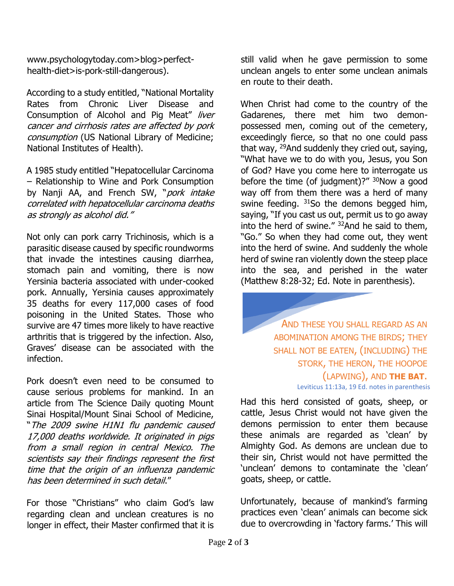www.psychologytoday.com>blog>perfecthealth-diet>is-pork-still-dangerous).

According to a study entitled, "National Mortality Rates from Chronic Liver Disease and Consumption of Alcohol and Pig Meat" liver cancer and cirrhosis rates are affected by pork consumption (US National Library of Medicine; National Institutes of Health).

A 1985 study entitled "Hepatocellular Carcinoma – Relationship to Wine and Pork Consumption by Nanji AA, and French SW, "pork intake correlated with hepatocellular carcinoma deaths as strongly as alcohol did."

Not only can pork carry Trichinosis, which is a parasitic disease caused by specific roundworms that invade the intestines causing diarrhea, stomach pain and vomiting, there is now Yersinia bacteria associated with under-cooked pork. Annually, Yersinia causes approximately 35 deaths for every 117,000 cases of food poisoning in the United States. Those who survive are 47 times more likely to have reactive arthritis that is triggered by the infection. Also, Graves' disease can be associated with the infection.

Pork doesn't even need to be consumed to cause serious problems for mankind. In an article from The Science Daily quoting Mount Sinai Hospital/Mount Sinai School of Medicine, "The 2009 swine H1N1 flu pandemic caused 17,000 deaths worldwide. It originated in pigs from a small region in central Mexico. The scientists say their findings represent the first time that the origin of an influenza pandemic has been determined in such detail."

For those "Christians" who claim God's law regarding clean and unclean creatures is no longer in effect, their Master confirmed that it is

still valid when he gave permission to some unclean angels to enter some unclean animals en route to their death.

When Christ had come to the country of the Gadarenes, there met him two demonpossessed men, coming out of the cemetery, exceedingly fierce, so that no one could pass that way, <sup>29</sup>And suddenly they cried out, saying, "What have we to do with you, Jesus, you Son of God? Have you come here to interrogate us before the time (of judgment)?"  $30$ Now a good way off from them there was a herd of many swine feeding. <sup>31</sup>So the demons begged him, saying, "If you cast us out, permit us to go away into the herd of swine." <sup>32</sup>And he said to them, "Go." So when they had come out, they went into the herd of swine. And suddenly the whole herd of swine ran violently down the steep place into the sea, and perished in the water (Matthew 8:28-32; Ed. Note in parenthesis).

> AND THESE YOU SHALL REGARD AS AN ABOMINATION AMONG THE BIRDS; THEY SHALL NOT BE EATEN, (INCLUDING) THE STORK, THE HERON, THE HOOPOE (LAPWING), AND **THE BAT**.

Leviticus 11:13a, 19 Ed. notes in parenthesis

Had this herd consisted of goats, sheep, or cattle, Jesus Christ would not have given the demons permission to enter them because these animals are regarded as 'clean' by Almighty God. As demons are unclean due to their sin, Christ would not have permitted the 'unclean' demons to contaminate the 'clean' goats, sheep, or cattle.

Unfortunately, because of mankind's farming practices even 'clean' animals can become sick due to overcrowding in 'factory farms.' This will